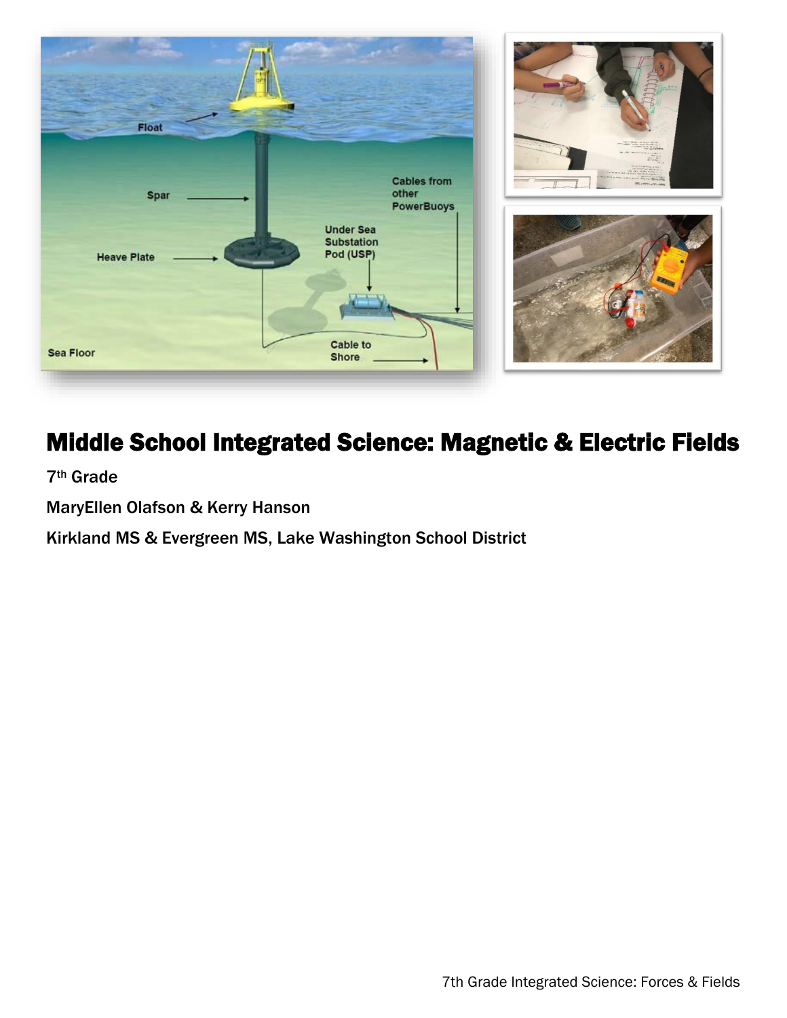

# Middle School Integrated Science: Magnetic & Electric Fields

7th Grade

MaryEllen Olafson & Kerry Hanson

Kirkland MS & Evergreen MS, Lake Washington School District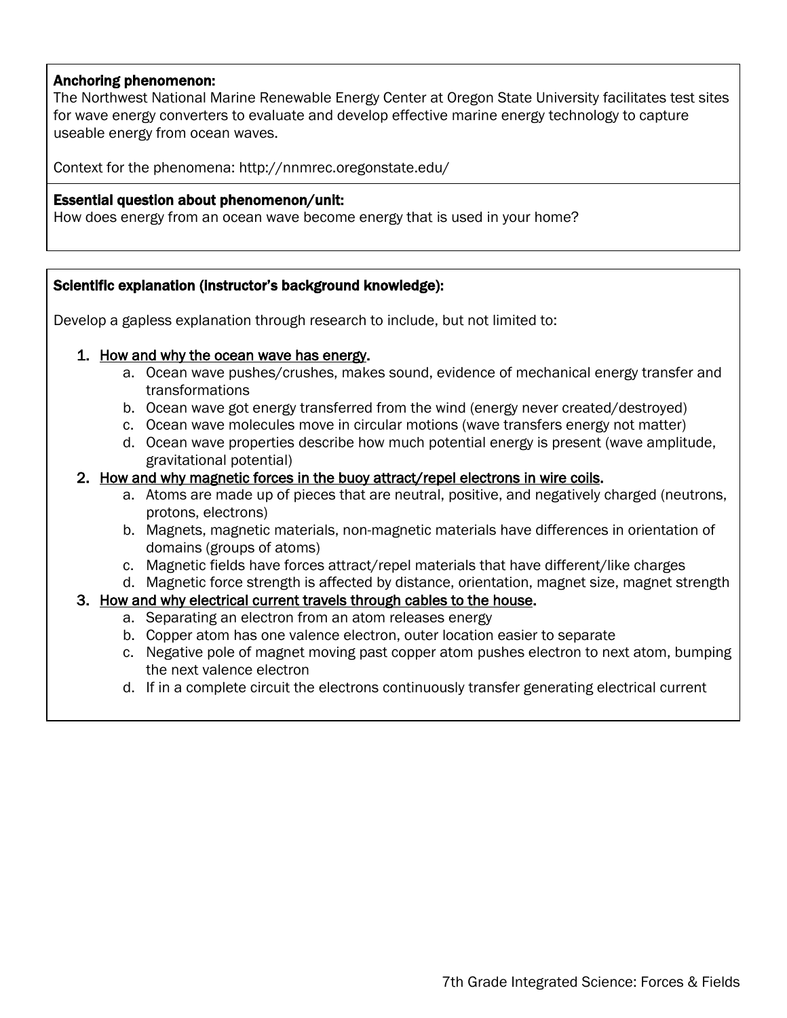## Anchoring phenomenon:

The Northwest National Marine Renewable Energy Center at Oregon State University facilitates test sites for wave energy converters to evaluate and develop effective marine energy technology to capture useable energy from ocean waves.

Context for the phenomena: http://nnmrec.oregonstate.edu/

### Essential question about phenomenon/unit:

How does energy from an ocean wave become energy that is used in your home?

## Scientific explanation (instructor's background knowledge):

Develop a gapless explanation through research to include, but not limited to:

## 1. How and why the ocean wave has energy.

- a. Ocean wave pushes/crushes, makes sound, evidence of mechanical energy transfer and transformations
- b. Ocean wave got energy transferred from the wind (energy never created/destroyed)
- c. Ocean wave molecules move in circular motions (wave transfers energy not matter)
- d. Ocean wave properties describe how much potential energy is present (wave amplitude, gravitational potential)
- 2. How and why magnetic forces in the buoy attract/repel electrons in wire coils.
	- a. Atoms are made up of pieces that are neutral, positive, and negatively charged (neutrons, protons, electrons)
	- b. Magnets, magnetic materials, non-magnetic materials have differences in orientation of domains (groups of atoms)
	- c. Magnetic fields have forces attract/repel materials that have different/like charges
	- d. Magnetic force strength is affected by distance, orientation, magnet size, magnet strength

## 3. How and why electrical current travels through cables to the house.

- a. Separating an electron from an atom releases energy
- b. Copper atom has one valence electron, outer location easier to separate
- c. Negative pole of magnet moving past copper atom pushes electron to next atom, bumping the next valence electron
- d. If in a complete circuit the electrons continuously transfer generating electrical current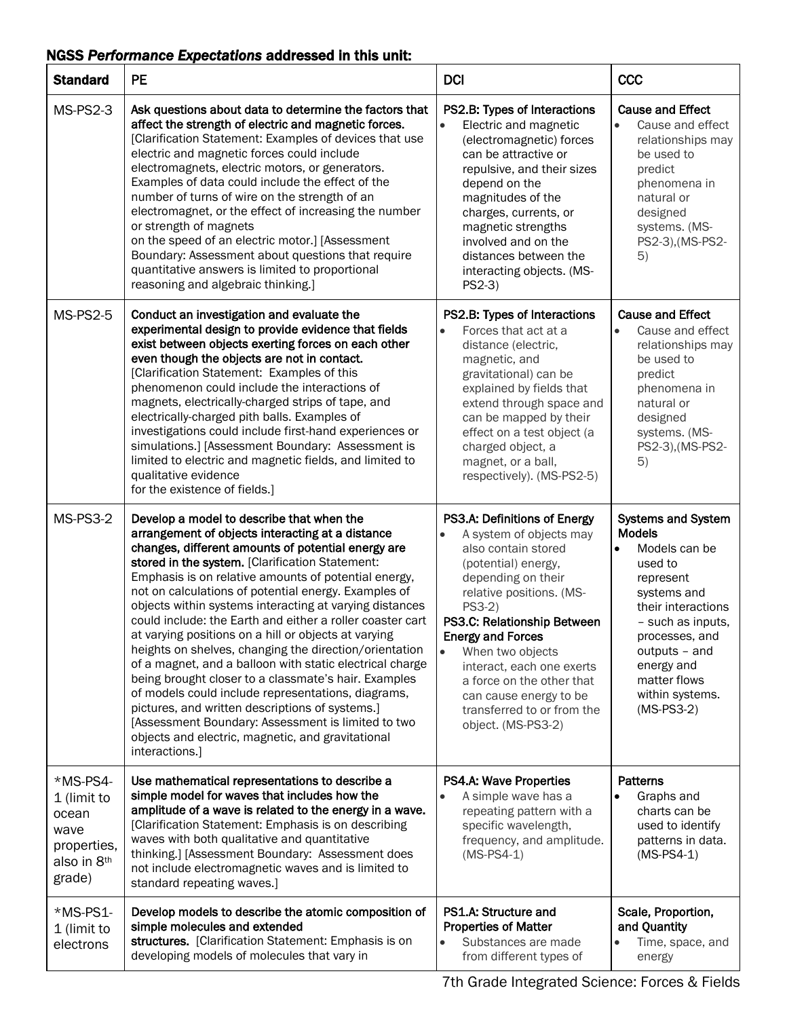## NGSS *Performance Expectations* addressed in this unit:

| <b>Standard</b>                                                                  | <b>PE</b>                                                                                                                                                                                                                                                                                                                                                                                                                                                                                                                                                                                                                                                                                                                                                                                                                                                                                                                  | <b>DCI</b>                                                                                                                                                                                                                                                                                                                                                                                                         | CCC                                                                                                                                                                                                                                                            |
|----------------------------------------------------------------------------------|----------------------------------------------------------------------------------------------------------------------------------------------------------------------------------------------------------------------------------------------------------------------------------------------------------------------------------------------------------------------------------------------------------------------------------------------------------------------------------------------------------------------------------------------------------------------------------------------------------------------------------------------------------------------------------------------------------------------------------------------------------------------------------------------------------------------------------------------------------------------------------------------------------------------------|--------------------------------------------------------------------------------------------------------------------------------------------------------------------------------------------------------------------------------------------------------------------------------------------------------------------------------------------------------------------------------------------------------------------|----------------------------------------------------------------------------------------------------------------------------------------------------------------------------------------------------------------------------------------------------------------|
| MS-PS2-3                                                                         | Ask questions about data to determine the factors that<br>affect the strength of electric and magnetic forces.<br>[Clarification Statement: Examples of devices that use<br>electric and magnetic forces could include<br>electromagnets, electric motors, or generators.<br>Examples of data could include the effect of the<br>number of turns of wire on the strength of an<br>electromagnet, or the effect of increasing the number<br>or strength of magnets<br>on the speed of an electric motor.] [Assessment<br>Boundary: Assessment about questions that require<br>quantitative answers is limited to proportional<br>reasoning and algebraic thinking.]                                                                                                                                                                                                                                                         | PS2.B: Types of Interactions<br>Electric and magnetic<br>$\bullet$<br>(electromagnetic) forces<br>can be attractive or<br>repulsive, and their sizes<br>depend on the<br>magnitudes of the<br>charges, currents, or<br>magnetic strengths<br>involved and on the<br>distances between the<br>interacting objects. (MS-<br>$PS2-3)$                                                                                 | <b>Cause and Effect</b><br>$\bullet$<br>Cause and effect<br>relationships may<br>be used to<br>predict<br>phenomena in<br>natural or<br>designed<br>systems. (MS-<br>PS2-3), (MS-PS2-<br>5)                                                                    |
| <b>MS-PS2-5</b>                                                                  | Conduct an investigation and evaluate the<br>experimental design to provide evidence that fields<br>exist between objects exerting forces on each other<br>even though the objects are not in contact.<br>[Clarification Statement: Examples of this<br>phenomenon could include the interactions of<br>magnets, electrically-charged strips of tape, and<br>electrically-charged pith balls. Examples of<br>investigations could include first-hand experiences or<br>simulations.] [Assessment Boundary: Assessment is<br>limited to electric and magnetic fields, and limited to<br>qualitative evidence<br>for the existence of fields.]                                                                                                                                                                                                                                                                               | PS2.B: Types of Interactions<br>Forces that act at a<br>distance (electric,<br>magnetic, and<br>gravitational) can be<br>explained by fields that<br>extend through space and<br>can be mapped by their<br>effect on a test object (a<br>charged object, a<br>magnet, or a ball,<br>respectively). (MS-PS2-5)                                                                                                      | <b>Cause and Effect</b><br>Cause and effect<br>relationships may<br>be used to<br>predict<br>phenomena in<br>natural or<br>designed<br>systems. (MS-<br>PS2-3), (MS-PS2-<br>5)                                                                                 |
| MS-PS3-2                                                                         | Develop a model to describe that when the<br>arrangement of objects interacting at a distance<br>changes, different amounts of potential energy are<br>stored in the system. [Clarification Statement:<br>Emphasis is on relative amounts of potential energy,<br>not on calculations of potential energy. Examples of<br>objects within systems interacting at varying distances<br>could include: the Earth and either a roller coaster cart<br>at varying positions on a hill or objects at varying<br>heights on shelves, changing the direction/orientation<br>of a magnet, and a balloon with static electrical charge<br>being brought closer to a classmate's hair. Examples<br>of models could include representations, diagrams,<br>pictures, and written descriptions of systems.]<br>[Assessment Boundary: Assessment is limited to two<br>objects and electric, magnetic, and gravitational<br>interactions.] | PS3.A: Definitions of Energy<br>A system of objects may<br>$\bullet$<br>also contain stored<br>(potential) energy,<br>depending on their<br>relative positions. (MS-<br>PS3-2)<br>PS3.C: Relationship Between<br><b>Energy and Forces</b><br>$\bullet$<br>When two objects<br>interact, each one exerts<br>a force on the other that<br>can cause energy to be<br>transferred to or from the<br>object. (MS-PS3-2) | <b>Systems and System</b><br><b>Models</b><br>Models can be<br>$\bullet$<br>used to<br>represent<br>systems and<br>their interactions<br>- such as inputs,<br>processes, and<br>outputs - and<br>energy and<br>matter flows<br>within systems.<br>$(MS-PS3-2)$ |
| *MS-PS4-<br>1 (limit to<br>ocean<br>wave<br>properties,<br>also in 8th<br>grade) | Use mathematical representations to describe a<br>simple model for waves that includes how the<br>amplitude of a wave is related to the energy in a wave.<br>[Clarification Statement: Emphasis is on describing<br>waves with both qualitative and quantitative<br>thinking.] [Assessment Boundary: Assessment does<br>not include electromagnetic waves and is limited to<br>standard repeating waves.]                                                                                                                                                                                                                                                                                                                                                                                                                                                                                                                  | PS4.A: Wave Properties<br>A simple wave has a<br>$\bullet$<br>repeating pattern with a<br>specific wavelength,<br>frequency, and amplitude.<br>$(MS-PS4-1)$                                                                                                                                                                                                                                                        | <b>Patterns</b><br>Graphs and<br>$\bullet$<br>charts can be<br>used to identify<br>patterns in data.<br>$(MS-PS4-1)$                                                                                                                                           |
| *MS-PS1-<br>1 (limit to<br>electrons                                             | Develop models to describe the atomic composition of<br>simple molecules and extended<br>structures. [Clarification Statement: Emphasis is on<br>developing models of molecules that vary in                                                                                                                                                                                                                                                                                                                                                                                                                                                                                                                                                                                                                                                                                                                               | PS1.A: Structure and<br><b>Properties of Matter</b><br>Substances are made<br>from different types of                                                                                                                                                                                                                                                                                                              | Scale, Proportion,<br>and Quantity<br>Time, space, and<br>$\bullet$<br>energy                                                                                                                                                                                  |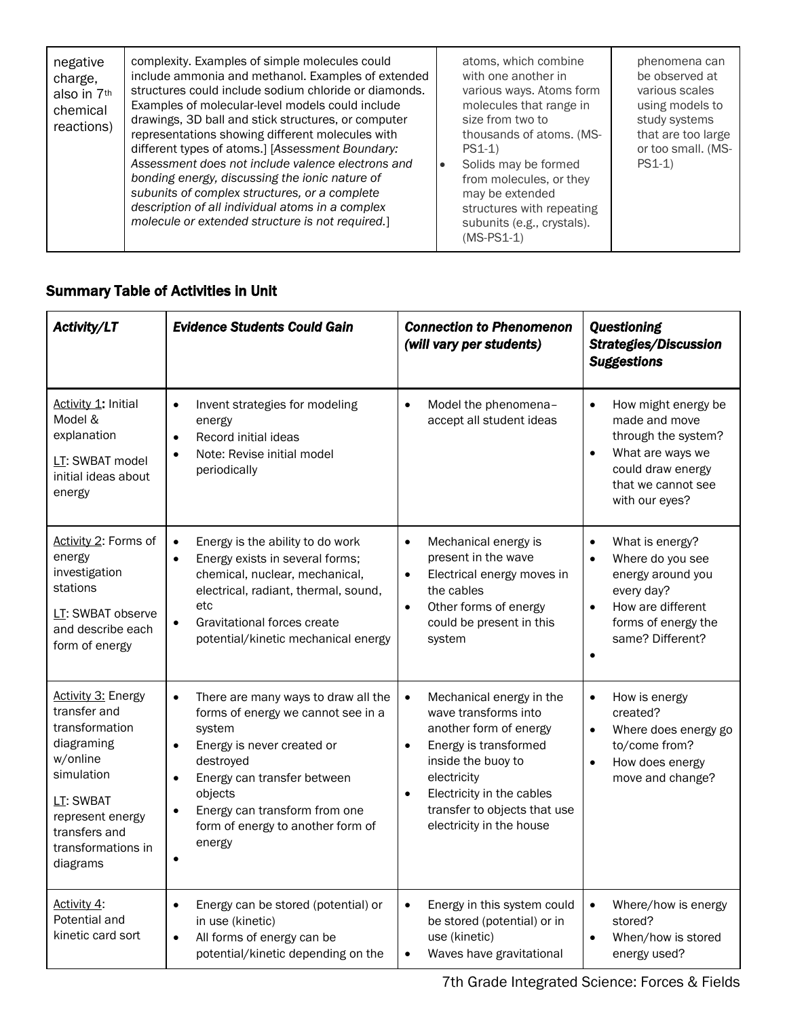| negative<br>charge,<br>also in 7th<br>chemical<br>reactions) | complexity. Examples of simple molecules could<br>include ammonia and methanol. Examples of extended<br>structures could include sodium chloride or diamonds.<br>Examples of molecular-level models could include<br>drawings, 3D ball and stick structures, or computer<br>representations showing different molecules with<br>different types of atoms.] [Assessment Boundary:<br>Assessment does not include valence electrons and<br>bonding energy, discussing the ionic nature of<br>subunits of complex structures, or a complete<br>description of all individual atoms in a complex<br>molecule or extended structure is not required.] |  | atoms, which combine<br>with one another in<br>various ways. Atoms form<br>molecules that range in<br>size from two to<br>thousands of atoms. (MS-<br>$PS1-1)$<br>Solids may be formed<br>from molecules, or they<br>may be extended<br>structures with repeating<br>subunits (e.g., crystals).<br>$(MS-PS1-1)$ | phenomena can<br>be observed at<br>various scales<br>using models to<br>study systems<br>that are too large<br>or too small. (MS-<br>$PS1-1)$ |
|--------------------------------------------------------------|--------------------------------------------------------------------------------------------------------------------------------------------------------------------------------------------------------------------------------------------------------------------------------------------------------------------------------------------------------------------------------------------------------------------------------------------------------------------------------------------------------------------------------------------------------------------------------------------------------------------------------------------------|--|-----------------------------------------------------------------------------------------------------------------------------------------------------------------------------------------------------------------------------------------------------------------------------------------------------------------|-----------------------------------------------------------------------------------------------------------------------------------------------|
|--------------------------------------------------------------|--------------------------------------------------------------------------------------------------------------------------------------------------------------------------------------------------------------------------------------------------------------------------------------------------------------------------------------------------------------------------------------------------------------------------------------------------------------------------------------------------------------------------------------------------------------------------------------------------------------------------------------------------|--|-----------------------------------------------------------------------------------------------------------------------------------------------------------------------------------------------------------------------------------------------------------------------------------------------------------------|-----------------------------------------------------------------------------------------------------------------------------------------------|

## Summary Table of Activities in Unit

| Activity/LT                                                                                                                                                                             | <b>Evidence Students Could Gain</b>                                                                                                                                                                                                                                                             | <b>Connection to Phenomenon</b><br>(will vary per students)                                                                                                                                                                                                 | <b>Questioning</b><br><b>Strategies/Discussion</b><br><b>Suggestions</b>                                                                                                                   |
|-----------------------------------------------------------------------------------------------------------------------------------------------------------------------------------------|-------------------------------------------------------------------------------------------------------------------------------------------------------------------------------------------------------------------------------------------------------------------------------------------------|-------------------------------------------------------------------------------------------------------------------------------------------------------------------------------------------------------------------------------------------------------------|--------------------------------------------------------------------------------------------------------------------------------------------------------------------------------------------|
| Activity 1: Initial<br>Model &<br>explanation<br>LT: SWBAT model<br>initial ideas about<br>energy                                                                                       | Invent strategies for modeling<br>$\bullet$<br>energy<br>Record initial ideas<br>$\bullet$<br>Note: Revise initial model<br>$\bullet$<br>periodically                                                                                                                                           | Model the phenomena-<br>$\bullet$<br>accept all student ideas                                                                                                                                                                                               | How might energy be<br>$\bullet$<br>made and move<br>through the system?<br>What are ways we<br>$\bullet$<br>could draw energy<br>that we cannot see<br>with our eyes?                     |
| Activity 2: Forms of<br>energy<br>investigation<br>stations<br>LT: SWBAT observe<br>and describe each<br>form of energy                                                                 | Energy is the ability to do work<br>$\bullet$<br>Energy exists in several forms;<br>$\bullet$<br>chemical, nuclear, mechanical,<br>electrical, radiant, thermal, sound,<br>etc<br>Gravitational forces create<br>$\bullet$<br>potential/kinetic mechanical energy                               | $\bullet$<br>Mechanical energy is<br>present in the wave<br>Electrical energy moves in<br>$\bullet$<br>the cables<br>Other forms of energy<br>$\bullet$<br>could be present in this<br>system                                                               | What is energy?<br>$\bullet$<br>Where do you see<br>$\bullet$<br>energy around you<br>every day?<br>How are different<br>$\bullet$<br>forms of energy the<br>same? Different?<br>$\bullet$ |
| <b>Activity 3: Energy</b><br>transfer and<br>transformation<br>diagraming<br>w/online<br>simulation<br>LT: SWBAT<br>represent energy<br>transfers and<br>transformations in<br>diagrams | There are many ways to draw all the<br>$\bullet$<br>forms of energy we cannot see in a<br>system<br>Energy is never created or<br>$\bullet$<br>destroved<br>Energy can transfer between<br>$\bullet$<br>objects<br>Energy can transform from one<br>form of energy to another form of<br>energy | Mechanical energy in the<br>$\bullet$<br>wave transforms into<br>another form of energy<br>Energy is transformed<br>$\bullet$<br>inside the buoy to<br>electricity<br>Electricity in the cables<br>transfer to objects that use<br>electricity in the house | How is energy<br>$\bullet$<br>created?<br>Where does energy go<br>$\bullet$<br>to/come from?<br>How does energy<br>$\bullet$<br>move and change?                                           |
| Activity 4:<br>Potential and<br>kinetic card sort                                                                                                                                       | Energy can be stored (potential) or<br>$\bullet$<br>in use (kinetic)<br>All forms of energy can be<br>$\bullet$<br>potential/kinetic depending on the                                                                                                                                           | Energy in this system could<br>$\bullet$<br>be stored (potential) or in<br>use (kinetic)<br>Waves have gravitational<br>$\bullet$                                                                                                                           | Where/how is energy<br>$\bullet$<br>stored?<br>When/how is stored<br>$\bullet$<br>energy used?                                                                                             |

7th Grade Integrated Science: Forces & Fields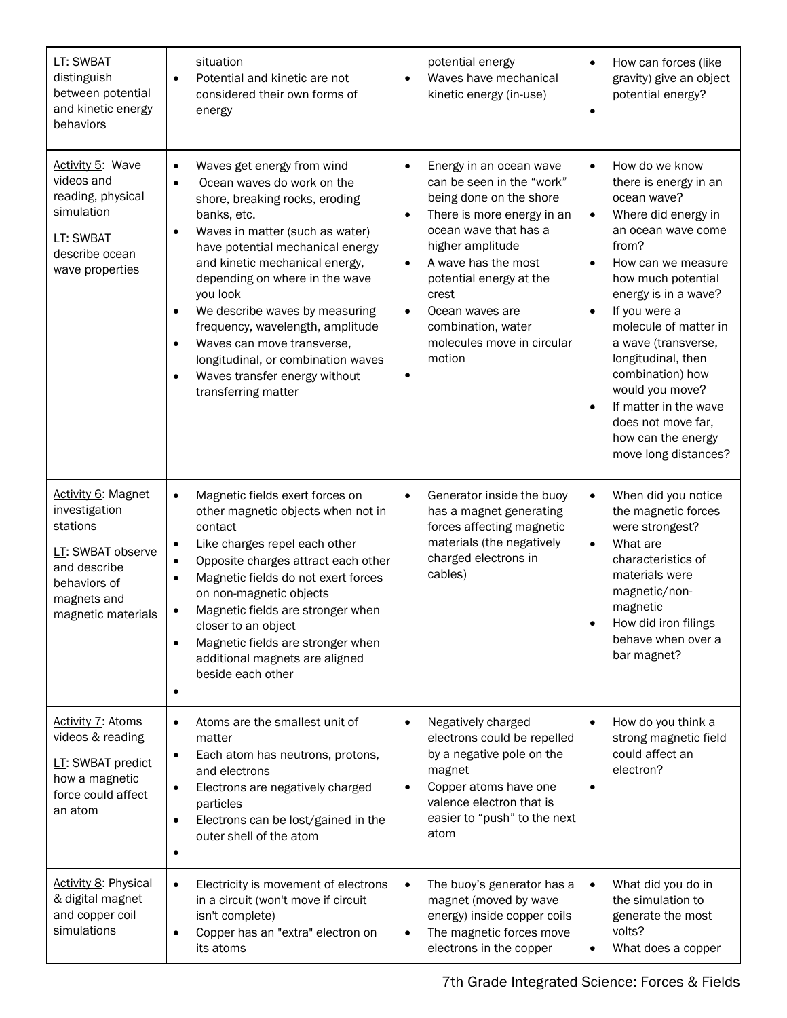| LT: SWBAT<br>distinguish<br>between potential<br>and kinetic energy<br>behaviors                                                                 | situation<br>Potential and kinetic are not<br>٠<br>considered their own forms of<br>energy                                                                                                                                                                                                                                                                                                                                                                                                                             | potential energy<br>Waves have mechanical<br>kinetic energy (in-use)                                                                                                                                                                                                                                                                                                    | How can forces (like<br>$\bullet$<br>gravity) give an object<br>potential energy?                                                                                                                                                                                                                                                                                                                                                                               |
|--------------------------------------------------------------------------------------------------------------------------------------------------|------------------------------------------------------------------------------------------------------------------------------------------------------------------------------------------------------------------------------------------------------------------------------------------------------------------------------------------------------------------------------------------------------------------------------------------------------------------------------------------------------------------------|-------------------------------------------------------------------------------------------------------------------------------------------------------------------------------------------------------------------------------------------------------------------------------------------------------------------------------------------------------------------------|-----------------------------------------------------------------------------------------------------------------------------------------------------------------------------------------------------------------------------------------------------------------------------------------------------------------------------------------------------------------------------------------------------------------------------------------------------------------|
| <b>Activity 5: Wave</b><br>videos and<br>reading, physical<br>simulation<br>LT: SWBAT<br>describe ocean<br>wave properties                       | Waves get energy from wind<br>$\bullet$<br>Ocean waves do work on the<br>$\bullet$<br>shore, breaking rocks, eroding<br>banks, etc.<br>Waves in matter (such as water)<br>$\bullet$<br>have potential mechanical energy<br>and kinetic mechanical energy,<br>depending on where in the wave<br>you look<br>We describe waves by measuring<br>frequency, wavelength, amplitude<br>Waves can move transverse,<br>$\bullet$<br>longitudinal, or combination waves<br>Waves transfer energy without<br>transferring matter | Energy in an ocean wave<br>$\bullet$<br>can be seen in the "work"<br>being done on the shore<br>There is more energy in an<br>$\bullet$<br>ocean wave that has a<br>higher amplitude<br>A wave has the most<br>$\bullet$<br>potential energy at the<br>crest<br>Ocean waves are<br>$\bullet$<br>combination, water<br>molecules move in circular<br>motion<br>$\bullet$ | How do we know<br>$\bullet$<br>there is energy in an<br>ocean wave?<br>Where did energy in<br>$\bullet$<br>an ocean wave come<br>from?<br>How can we measure<br>$\bullet$<br>how much potential<br>energy is in a wave?<br>If you were a<br>molecule of matter in<br>a wave (transverse,<br>longitudinal, then<br>combination) how<br>would you move?<br>If matter in the wave<br>$\bullet$<br>does not move far,<br>how can the energy<br>move long distances? |
| <b>Activity 6: Magnet</b><br>investigation<br>stations<br>LT: SWBAT observe<br>and describe<br>behaviors of<br>magnets and<br>magnetic materials | Magnetic fields exert forces on<br>$\bullet$<br>other magnetic objects when not in<br>contact<br>Like charges repel each other<br>٠<br>Opposite charges attract each other<br>$\bullet$<br>Magnetic fields do not exert forces<br>on non-magnetic objects<br>Magnetic fields are stronger when<br>closer to an object<br>Magnetic fields are stronger when<br>additional magnets are aligned<br>beside each other                                                                                                      | Generator inside the buoy<br>$\bullet$<br>has a magnet generating<br>forces affecting magnetic<br>materials (the negatively<br>charged electrons in<br>cables)                                                                                                                                                                                                          | When did you notice<br>$\bullet$<br>the magnetic forces<br>were strongest?<br>What are<br>$\bullet$<br>characteristics of<br>materials were<br>magnetic/non-<br>magnetic<br>How did iron filings<br>behave when over a<br>bar magnet?                                                                                                                                                                                                                           |
| Activity 7: Atoms<br>videos & reading<br>LT: SWBAT predict<br>how a magnetic<br>force could affect<br>an atom                                    | Atoms are the smallest unit of<br>$\bullet$<br>matter<br>Each atom has neutrons, protons,<br>٠<br>and electrons<br>Electrons are negatively charged<br>٠<br>particles<br>Electrons can be lost/gained in the<br>$\bullet$<br>outer shell of the atom                                                                                                                                                                                                                                                                   | Negatively charged<br>$\bullet$<br>electrons could be repelled<br>by a negative pole on the<br>magnet<br>Copper atoms have one<br>$\bullet$<br>valence electron that is<br>easier to "push" to the next<br>atom                                                                                                                                                         | How do you think a<br>$\bullet$<br>strong magnetic field<br>could affect an<br>electron?<br>$\bullet$                                                                                                                                                                                                                                                                                                                                                           |
| <b>Activity 8: Physical</b><br>& digital magnet<br>and copper coil<br>simulations                                                                | Electricity is movement of electrons<br>$\bullet$<br>in a circuit (won't move if circuit<br>isn't complete)<br>Copper has an "extra" electron on<br>its atoms                                                                                                                                                                                                                                                                                                                                                          | The buoy's generator has a<br>$\bullet$<br>magnet (moved by wave<br>energy) inside copper coils<br>The magnetic forces move<br>$\bullet$<br>electrons in the copper                                                                                                                                                                                                     | What did you do in<br>$\bullet$<br>the simulation to<br>generate the most<br>volts?<br>What does a copper<br>$\bullet$                                                                                                                                                                                                                                                                                                                                          |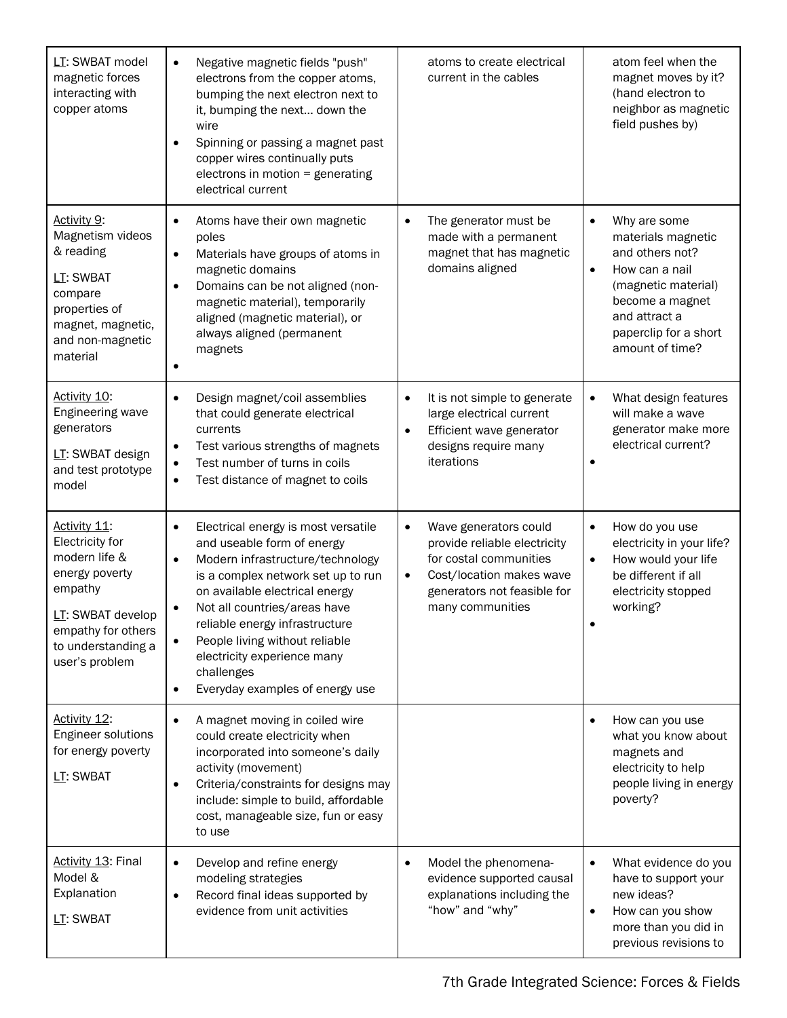| LT: SWBAT model<br>magnetic forces<br>interacting with<br>copper atoms                                                                                           | Negative magnetic fields "push"<br>$\bullet$<br>electrons from the copper atoms,<br>bumping the next electron next to<br>it, bumping the next down the<br>wire<br>Spinning or passing a magnet past<br>$\bullet$<br>copper wires continually puts<br>electrons in motion = generating<br>electrical current                                                                                              | atoms to create electrical<br>current in the cables                                                                                                                              | atom feel when the<br>magnet moves by it?<br>(hand electron to<br>neighbor as magnetic<br>field pushes by)                                                                                               |
|------------------------------------------------------------------------------------------------------------------------------------------------------------------|----------------------------------------------------------------------------------------------------------------------------------------------------------------------------------------------------------------------------------------------------------------------------------------------------------------------------------------------------------------------------------------------------------|----------------------------------------------------------------------------------------------------------------------------------------------------------------------------------|----------------------------------------------------------------------------------------------------------------------------------------------------------------------------------------------------------|
| Activity 9:<br>Magnetism videos<br>& reading<br>LT: SWBAT<br>compare<br>properties of<br>magnet, magnetic,<br>and non-magnetic<br>material                       | Atoms have their own magnetic<br>$\bullet$<br>poles<br>Materials have groups of atoms in<br>$\bullet$<br>magnetic domains<br>Domains can be not aligned (non-<br>$\bullet$<br>magnetic material), temporarily<br>aligned (magnetic material), or<br>always aligned (permanent<br>magnets<br>۰                                                                                                            | The generator must be<br>$\bullet$<br>made with a permanent<br>magnet that has magnetic<br>domains aligned                                                                       | Why are some<br>$\bullet$<br>materials magnetic<br>and others not?<br>How can a nail<br>$\bullet$<br>(magnetic material)<br>become a magnet<br>and attract a<br>paperclip for a short<br>amount of time? |
| Activity 10:<br>Engineering wave<br>generators<br>LT: SWBAT design<br>and test prototype<br>model                                                                | Design magnet/coil assemblies<br>$\bullet$<br>that could generate electrical<br>currents<br>Test various strengths of magnets<br>$\bullet$<br>Test number of turns in coils<br>$\bullet$<br>Test distance of magnet to coils<br>$\bullet$                                                                                                                                                                | It is not simple to generate<br>$\bullet$<br>large electrical current<br>Efficient wave generator<br>$\bullet$<br>designs require many<br>iterations                             | What design features<br>$\bullet$<br>will make a wave<br>generator make more<br>electrical current?                                                                                                      |
| Activity 11:<br>Electricity for<br>modern life &<br>energy poverty<br>empathy<br>LT: SWBAT develop<br>empathy for others<br>to understanding a<br>user's problem | Electrical energy is most versatile<br>$\bullet$<br>and useable form of energy<br>Modern infrastructure/technology<br>$\bullet$<br>is a complex network set up to run<br>on available electrical energy<br>Not all countries/areas have<br>$\bullet$<br>reliable energy infrastructure<br>People living without reliable<br>electricity experience many<br>challenges<br>Everyday examples of energy use | Wave generators could<br>$\bullet$<br>provide reliable electricity<br>for costal communities<br>Cost/location makes wave<br>٠<br>generators not feasible for<br>many communities | How do you use<br>$\bullet$<br>electricity in your life?<br>How would your life<br>$\bullet$<br>be different if all<br>electricity stopped<br>working?                                                   |
| Activity 12:<br>Engineer solutions<br>for energy poverty<br>LT: SWBAT                                                                                            | A magnet moving in coiled wire<br>$\bullet$<br>could create electricity when<br>incorporated into someone's daily<br>activity (movement)<br>Criteria/constraints for designs may<br>$\bullet$<br>include: simple to build, affordable<br>cost, manageable size, fun or easy<br>to use                                                                                                                    |                                                                                                                                                                                  | How can you use<br>$\bullet$<br>what you know about<br>magnets and<br>electricity to help<br>people living in energy<br>poverty?                                                                         |
| <b>Activity 13: Final</b><br>Model &<br>Explanation<br>LT: SWBAT                                                                                                 | Develop and refine energy<br>$\bullet$<br>modeling strategies<br>Record final ideas supported by<br>$\bullet$<br>evidence from unit activities                                                                                                                                                                                                                                                           | Model the phenomena-<br>$\bullet$<br>evidence supported causal<br>explanations including the<br>"how" and "why"                                                                  | What evidence do you<br>$\bullet$<br>have to support your<br>new ideas?<br>How can you show<br>$\bullet$<br>more than you did in<br>previous revisions to                                                |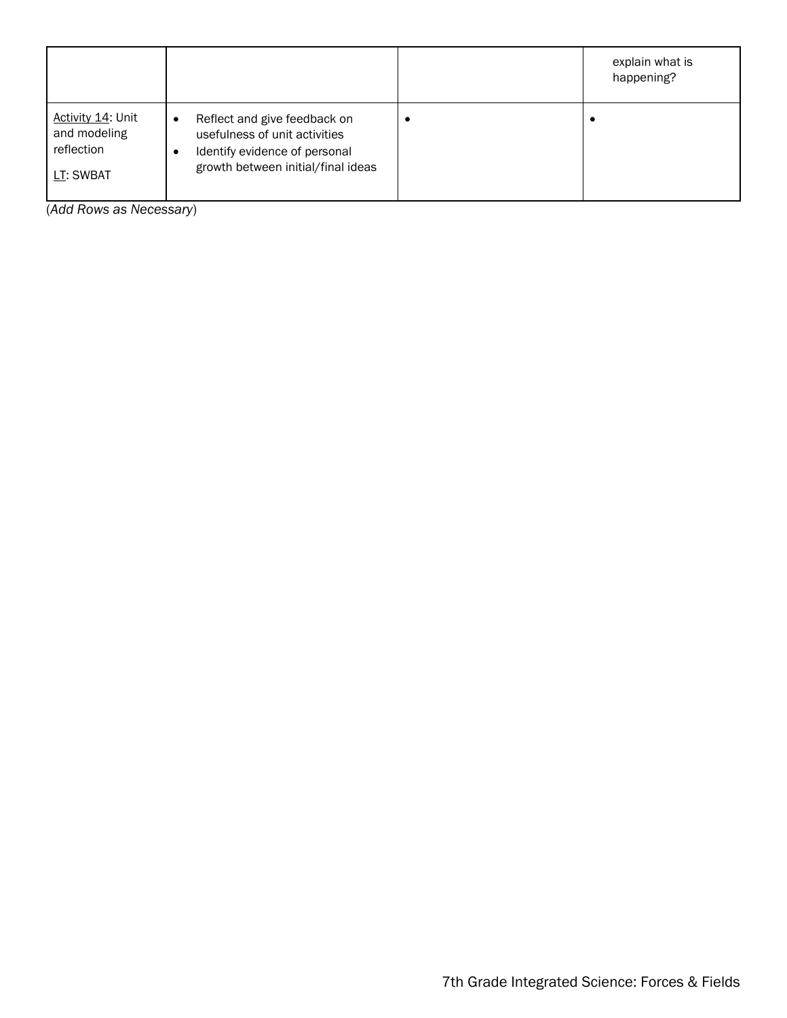|                                                              |                                                                                                                                                   | explain what is<br>happening? |
|--------------------------------------------------------------|---------------------------------------------------------------------------------------------------------------------------------------------------|-------------------------------|
| Activity 14: Unit<br>and modeling<br>reflection<br>LT: SWBAT | Reflect and give feedback on<br>$\bullet$<br>usefulness of unit activities<br>Identify evidence of personal<br>growth between initial/final ideas |                               |

(*Add Rows as Necessary*)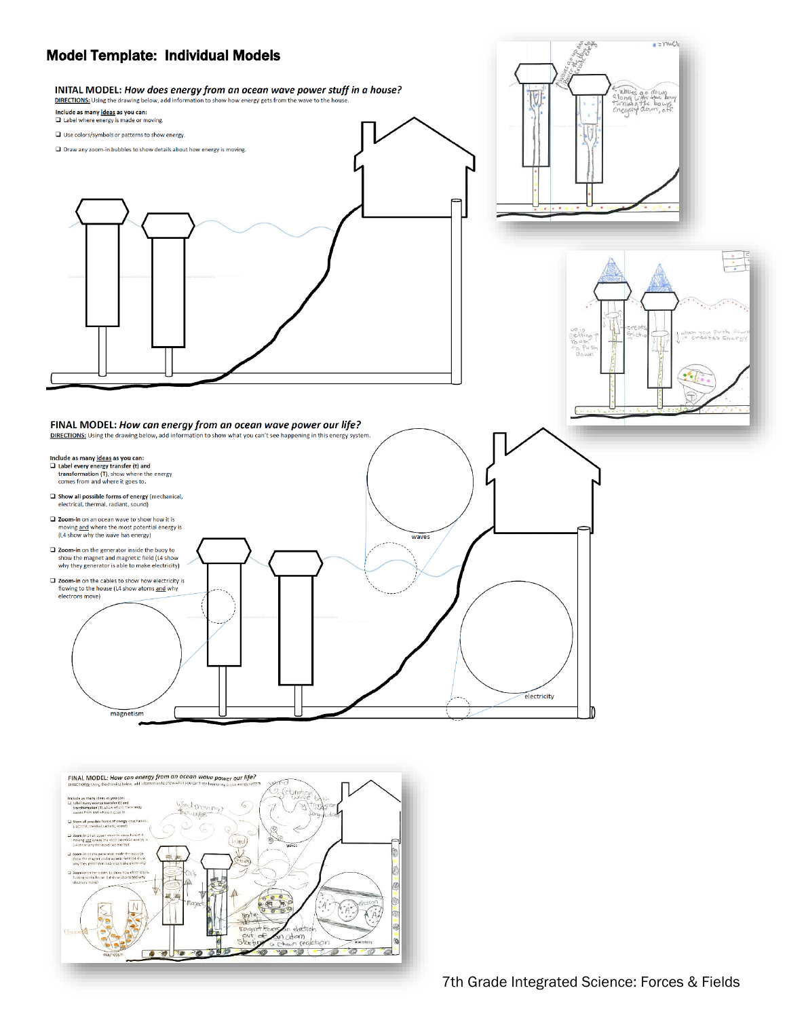

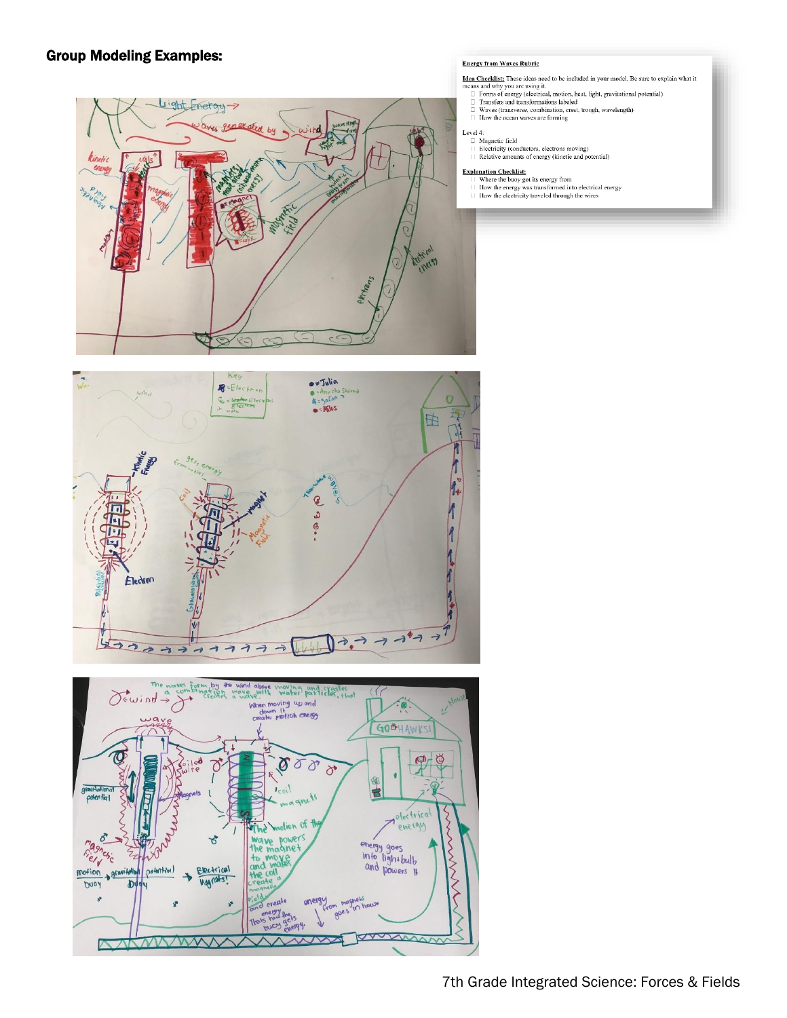## Group Modeling Examples:







### **Energy from Waves Rubric**

- Idea Checklist: These ideas need to be included in your model. Be sure to explain what it
- **Idea Cheeklists:** These ideas need to be included in your model. Be sure to expressive the state of the permutation of the state of the state of the state of the state of the state of the state of the state of the state
	-
- 

Level 4:<br>  $\Box$  Magnetic field<br>  $\Box$  Hagnetic field<br>  $\Box$  Electricity (conductors, electrons moving)<br>  $\Box$  Relative amounts of energy (kinetic and potential)

- **Explanation Checklist:**<br> $||$  Where the buoy got its energy from<br> $||$  How the energy was transformed into electrical energy
- $\Box$  How the electricity traveled through the wires